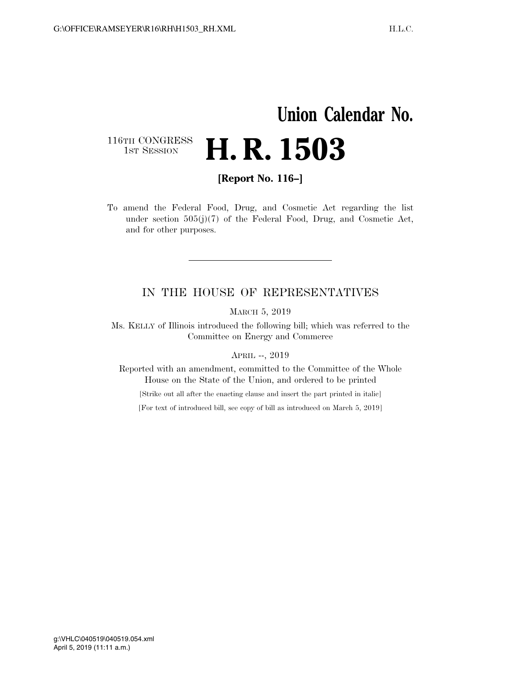## **Union Calendar No.**  116TH CONGRESS<br>1st Session **H. R. 1503**

**[Report No. 116–]** 

To amend the Federal Food, Drug, and Cosmetic Act regarding the list under section 505(j)(7) of the Federal Food, Drug, and Cosmetic Act, and for other purposes.

## IN THE HOUSE OF REPRESENTATIVES

MARCH 5, 2019

Ms. KELLY of Illinois introduced the following bill; which was referred to the Committee on Energy and Commerce

APRIL --, 2019

Reported with an amendment, committed to the Committee of the Whole House on the State of the Union, and ordered to be printed

[Strike out all after the enacting clause and insert the part printed in italic]

[For text of introduced bill, see copy of bill as introduced on March 5, 2019]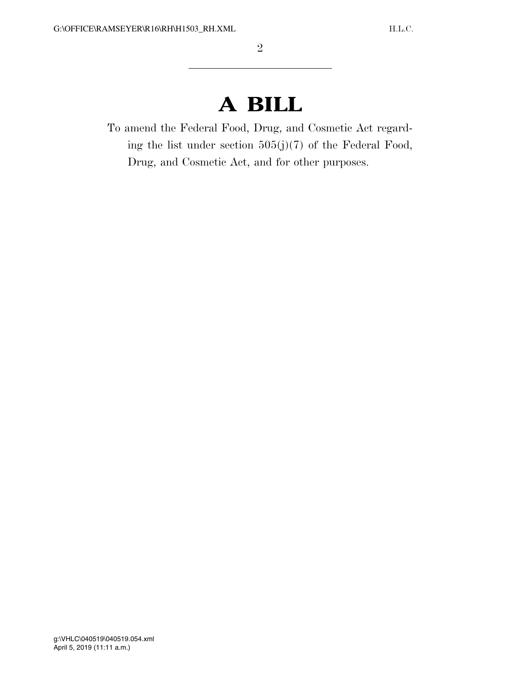## **A BILL**

To amend the Federal Food, Drug, and Cosmetic Act regarding the list under section  $505(j)(7)$  of the Federal Food, Drug, and Cosmetic Act, and for other purposes.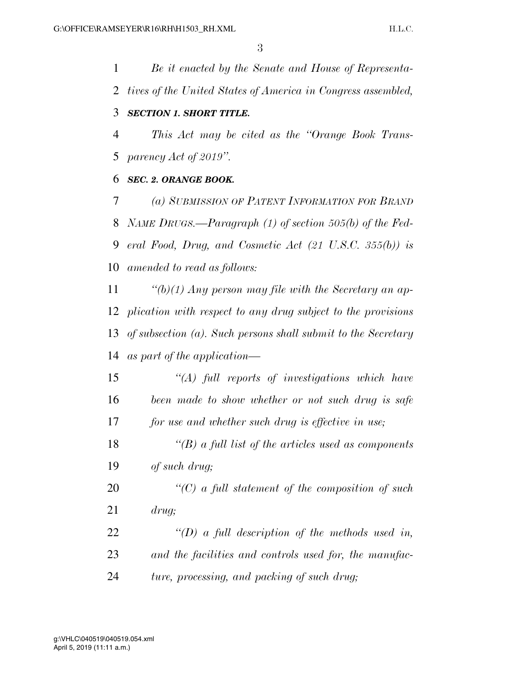*Be it enacted by the Senate and House of Representa- tives of the United States of America in Congress assembled, SECTION 1. SHORT TITLE.* 

 *This Act may be cited as the ''Orange Book Trans-parency Act of 2019''.* 

## *SEC. 2. ORANGE BOOK.*

 *(a) SUBMISSION OF PATENT INFORMATION FOR BRAND NAME DRUGS.—Paragraph (1) of section 505(b) of the Fed- eral Food, Drug, and Cosmetic Act (21 U.S.C. 355(b)) is amended to read as follows:* 

 *''(b)(1) Any person may file with the Secretary an ap- plication with respect to any drug subject to the provisions of subsection (a). Such persons shall submit to the Secretary as part of the application—* 

 *''(A) full reports of investigations which have been made to show whether or not such drug is safe for use and whether such drug is effective in use;* 

 *''(B) a full list of the articles used as components of such drug;* 

 *''(C) a full statement of the composition of such drug;* 

 *''(D) a full description of the methods used in, and the facilities and controls used for, the manufac-ture, processing, and packing of such drug;*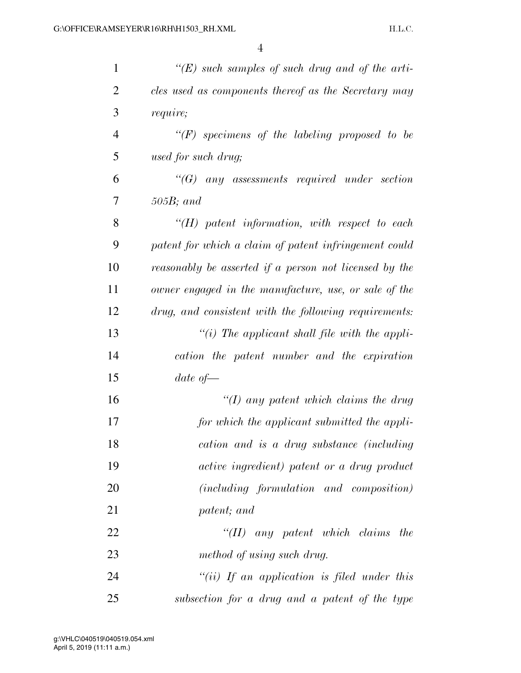| $\mathbf{1}$   | "(E) such samples of such drug and of the arti-        |
|----------------|--------------------------------------------------------|
| $\overline{2}$ | cles used as components thereof as the Secretary may   |
| 3              | require;                                               |
| $\overline{4}$ | $\lq\lq(F)$ specimens of the labeling proposed to be   |
| 5              | used for such drug;                                    |
| 6              | $\lq\lq G$ any assessments required under section      |
| 7              | $505B$ ; and                                           |
| 8              | $H$ ) patent information, with respect to each         |
| 9              | patent for which a claim of patent infringement could  |
| 10             | reasonably be asserted if a person not licensed by the |
| 11             | owner engaged in the manufacture, use, or sale of the  |
| 12             | drug, and consistent with the following requirements:  |
| 13             | "(i) The applicant shall file with the appli-          |
| 14             | cation the patent number and the expiration            |
| 15             | date of $-$                                            |
| 16             | "(I) any patent which claims the drug                  |
| 17             | for which the applicant submitted the appli-           |
| 18             | cation and is a drug substance (including              |
| 19             | active ingredient) patent or a drug product            |
| 20             | (including formulation and composition)                |
| 21             | patent; and                                            |
| 22             | $H(II)$ any patent which claims<br><i>the</i>          |
| 23             | method of using such drug.                             |
| 24             | "(ii) If an application is filed under this            |
| 25             | subsection for a drug and a patent of the type         |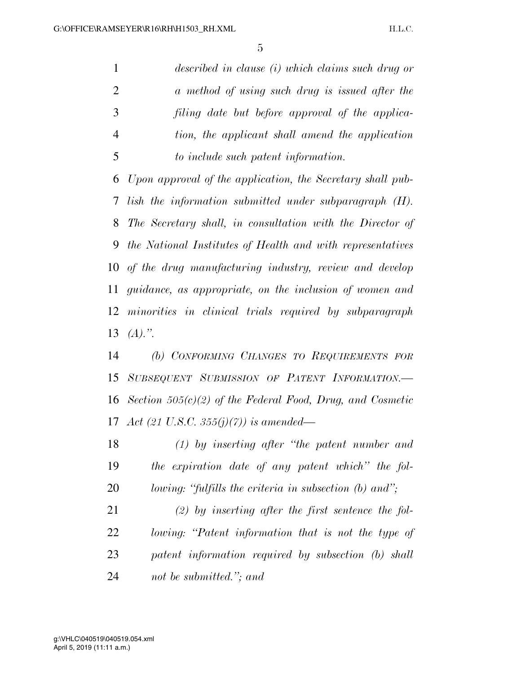*described in clause (i) which claims such drug or a method of using such drug is issued after the filing date but before approval of the applica- tion, the applicant shall amend the application to include such patent information.* 

 *Upon approval of the application, the Secretary shall pub- lish the information submitted under subparagraph (H). The Secretary shall, in consultation with the Director of the National Institutes of Health and with representatives of the drug manufacturing industry, review and develop guidance, as appropriate, on the inclusion of women and minorities in clinical trials required by subparagraph (A).''.* 

 *(b) CONFORMING CHANGES TO REQUIREMENTS FOR SUBSEQUENT SUBMISSION OF PATENT INFORMATION.— Section 505(c)(2) of the Federal Food, Drug, and Cosmetic Act (21 U.S.C. 355(j)(7)) is amended—* 

 *(1) by inserting after ''the patent number and the expiration date of any patent which'' the fol-lowing: ''fulfills the criteria in subsection (b) and'';* 

 *(2) by inserting after the first sentence the fol- lowing: ''Patent information that is not the type of patent information required by subsection (b) shall not be submitted.''; and*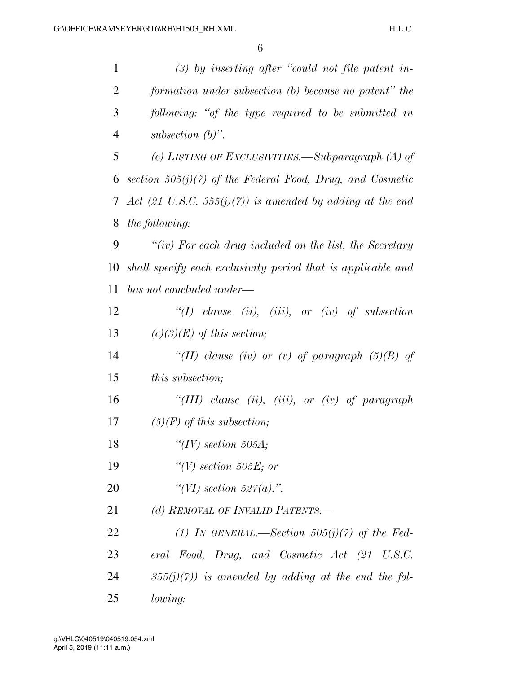| 1              | $(3)$ by inserting after "could not file patent in-          |
|----------------|--------------------------------------------------------------|
| $\overline{2}$ | formation under subsection (b) because no patent" the        |
| 3              | following: "of the type required to be submitted in          |
| $\overline{4}$ | subsection $(b)$ ".                                          |
| 5              | (c) LISTING OF EXCLUSIVITIES.—Subparagraph $(A)$ of          |
| 6              | section $505(j)(7)$ of the Federal Food, Drug, and Cosmetic  |
| 7              | Act (21 U.S.C. 355(j)(7)) is amended by adding at the end    |
| 8              | <i>the following:</i>                                        |
| 9              | "(iv) For each drug included on the list, the Secretary      |
| 10             | shall specify each exclusivity period that is applicable and |
| 11             | has not concluded under—                                     |
| 12             | $\lq (I)$ clause (ii), (iii), or (iv) of subsection          |
| 13             | $(c)(3)(E)$ of this section;                                 |
| 14             | "(II) clause (iv) or (v) of paragraph $(5)(B)$ of            |
| 15             | <i>this subsection;</i>                                      |
| 16             | "(III) clause (ii), (iii), or (iv) of paragraph              |
| 17             | $(5)(F)$ of this subsection;                                 |
| 18             | "(IV) section 505A;                                          |
| 19             | $\lq\lq(V)$ section 505E; or                                 |
| 20             | "(VI) section 527(a).".                                      |
| 21             | (d) REMOVAL OF INVALID PATENTS.—                             |
| 22             | (1) IN GENERAL.—Section $505(j)(7)$ of the Fed-              |
| 23             | eral Food, Drug, and Cosmetic Act (21 U.S.C.                 |
| 24             | $355(j)(7)$ ) is amended by adding at the end the fol-       |
| 25             | lowing:                                                      |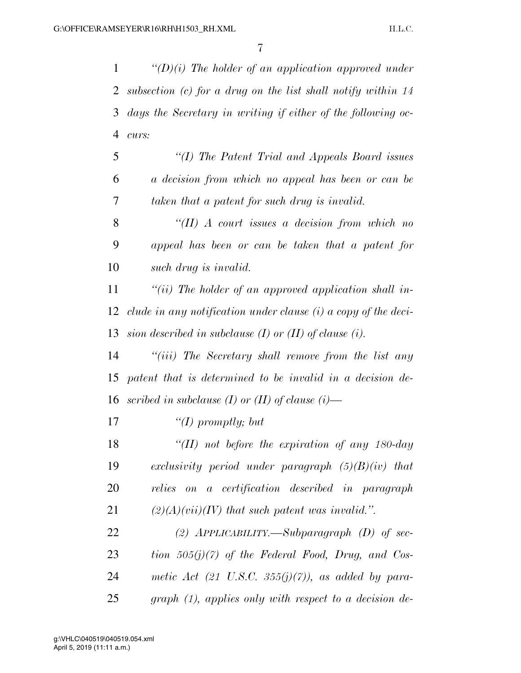*''(D)(i) The holder of an application approved under subsection (c) for a drug on the list shall notify within 14 days the Secretary in writing if either of the following oc-curs:* 

 *''(I) The Patent Trial and Appeals Board issues a decision from which no appeal has been or can be taken that a patent for such drug is invalid.* 

 *''(II) A court issues a decision from which no appeal has been or can be taken that a patent for such drug is invalid.* 

 *''(ii) The holder of an approved application shall in- clude in any notification under clause (i) a copy of the deci-sion described in subclause (I) or (II) of clause (i).* 

 *''(iii) The Secretary shall remove from the list any patent that is determined to be invalid in a decision de-scribed in subclause (I) or (II) of clause (i)—* 

*''(I) promptly; but* 

 *''(II) not before the expiration of any 180-day exclusivity period under paragraph (5)(B)(iv) that relies on a certification described in paragraph*   $(2)(A)(vii)(IV)$  that such patent was invalid.".

 *(2) APPLICABILITY.—Subparagraph (D) of sec- tion 505(j)(7) of the Federal Food, Drug, and Cos- metic Act (21 U.S.C. 355(j)(7)), as added by para-graph (1), applies only with respect to a decision de-*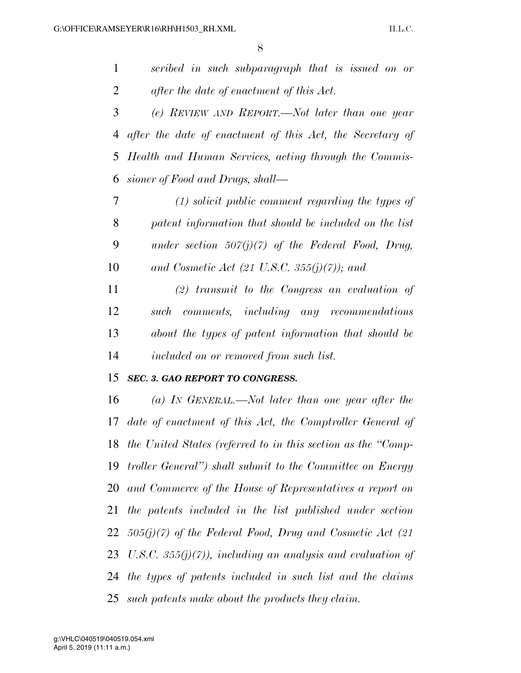*scribed in such subparagraph that is issued on or* 

 *after the date of enactment of this Act. (e) REVIEW AND REPORT.—Not later than one year after the date of enactment of this Act, the Secretary of Health and Human Services, acting through the Commis- sioner of Food and Drugs, shall— (1) solicit public comment regarding the types of patent information that should be included on the list under section 507(j)(7) of the Federal Food, Drug, and Cosmetic Act (21 U.S.C. 355(j)(7)); and (2) transmit to the Congress an evaluation of such comments, including any recommendations about the types of patent information that should be included on or removed from such list. SEC. 3. GAO REPORT TO CONGRESS. (a) IN GENERAL.—Not later than one year after the date of enactment of this Act, the Comptroller General of the United States (referred to in this section as the ''Comp- troller General'') shall submit to the Committee on Energy and Commerce of the House of Representatives a report on the patents included in the list published under section 505(j)(7) of the Federal Food, Drug and Cosmetic Act (21 U.S.C. 355(j)(7)), including an analysis and evaluation of the types of patents included in such list and the claims such patents make about the products they claim.*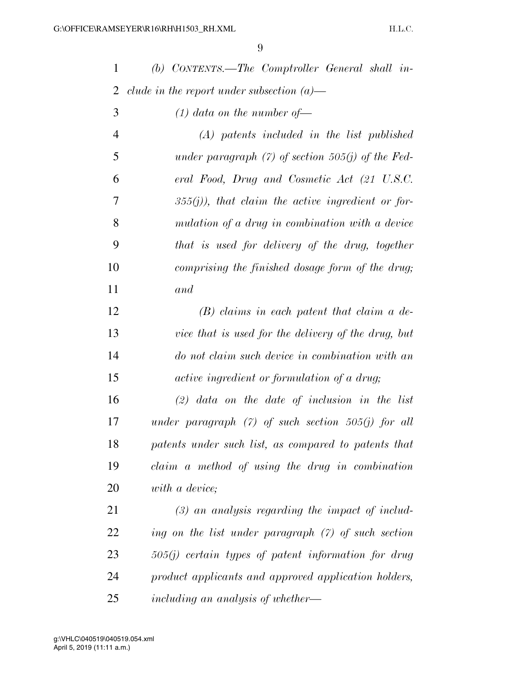*(b) CONTENTS.—The Comptroller General shall in-clude in the report under subsection (a)—* 

*(1) data on the number of—* 

| 4  | $(A)$ patents included in the list published        |
|----|-----------------------------------------------------|
| 5  | under paragraph $(7)$ of section 505(j) of the Fed- |
| 6  | eral Food, Drug and Cosmetic Act (21 U.S.C.         |
| 7  | $355(j)$ , that claim the active ingredient or for- |
| 8  | mulation of a drug in combination with a device     |
| 9  | that is used for delivery of the drug, together     |
| 10 | comprising the finished dosage form of the drug;    |
| 11 | and                                                 |

 *(B) claims in each patent that claim a de- vice that is used for the delivery of the drug, but do not claim such device in combination with an active ingredient or formulation of a drug;* 

 *(2) data on the date of inclusion in the list under paragraph (7) of such section 505(j) for all patents under such list, as compared to patents that claim a method of using the drug in combination with a device;* 

 *(3) an analysis regarding the impact of includ- ing on the list under paragraph (7) of such section 505(j) certain types of patent information for drug product applicants and approved application holders, including an analysis of whether—*